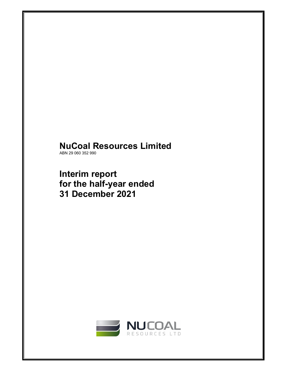# **NuCoal Resources Limited**

ABN 29 060 352 990

**Interim report for the half-year ended 31 December 2021** 

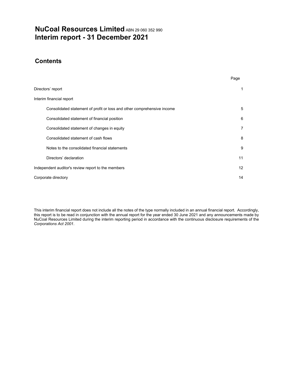# **NuCoal Resources Limited** ABN 29 060 352 990 **Interim report - 31 December 2021**

# **Contents**

|                                                                         | Page              |
|-------------------------------------------------------------------------|-------------------|
| Directors' report                                                       | 1                 |
| Interim financial report                                                |                   |
| Consolidated statement of profit or loss and other comprehensive income | 5                 |
| Consolidated statement of financial position                            | 6                 |
| Consolidated statement of changes in equity                             | 7                 |
| Consolidated statement of cash flows                                    | 8                 |
| Notes to the consolidated financial statements                          | 9                 |
| Directors' declaration                                                  | 11                |
| Independent auditor's review report to the members                      | $12 \overline{ }$ |
| Corporate directory                                                     | 14                |

This interim financial report does not include all the notes of the type normally included in an annual financial report. Accordingly, this report is to be read in conjunction with the annual report for the year ended 30 June 2021 and any announcements made by NuCoal Resources Limited during the interim reporting period in accordance with the continuous disclosure requirements of the *Corporations Act 2001*.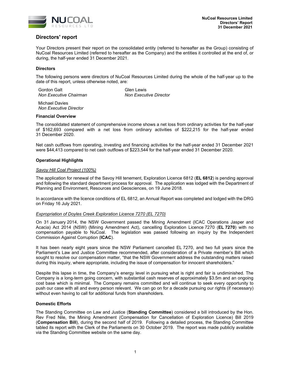

## **Directors' report**

Your Directors present their report on the consolidated entity (referred to hereafter as the Group) consisting of NuCoal Resources Limited (referred to hereafter as the Company) and the entities it controlled at the end of, or during, the half-year ended 31 December 2021.

## **Directors**

The following persons were directors of NuCoal Resources Limited during the whole of the half-year up to the date of this report, unless otherwise noted, are:

Gordon Galt **Glen** Clen Lewis **Non Executive Chairman Non Executive Director** 

Michael Davies *Non Executive Director* 

#### **Financial Overview**

The consolidated statement of comprehensive income shows a net loss from ordinary activities for the half-year of \$162,693 compared with a net loss from ordinary activities of \$222,215 for the half-year ended 31 December 2020.

Net cash outflows from operating, investing and financing activities for the half-year ended 31 December 2021 were \$44,413 compared to net cash outflows of \$223,544 for the half-year ended 31 December 2020.

## **Operational Highlights**

#### *Savoy Hill Coal Project (100%)*

The application for renewal of the Savoy Hill tenement, Exploration Licence 6812 (**EL 6812**) is pending approval and following the standard department process for approval. The application was lodged with the Department of Planning and Environment, Resources and Geosciences, on 19 June 2018.

In accordance with the licence conditions of EL 6812, an Annual Report was completed and lodged with the DRG on Friday 16 July 2021.

#### *Expropriation of Doyles Creek Exploration Licence 7270 (EL 7270)*

On 31 January 2014, the NSW Government passed the Mining Amendment (ICAC Operations Jasper and Acacia) Act 2014 (NSW) (Mining Amendment Act), cancelling Exploration Licence 7270 (**EL 7270**) with no compensation payable to NuCoal. The legislation was passed following an inquiry by the Independent Commission Against Corruption (**ICAC**).

It has been nearly eight years since the NSW Parliament cancelled EL 7270, and two full years since the Parliament's Law and Justice Committee recommended, after consideration of a Private member's Bill which sought to resolve our compensation matter, "that the NSW Government address the outstanding matters raised during this inquiry, where appropriate, including the issue of compensation for innocent shareholders."

Despite this lapse in time, the Company's energy level in pursuing what is right and fair is undiminished. The Company is a long-term going concern, with substantial cash reserves of approximately \$3.5m and an ongoing cost base which is minimal. The Company remains committed and will continue to seek every opportunity to push our case with all and every person relevant. We can go on for a decade pursuing our rights (if necessary) without even having to call for additional funds from shareholders.

#### **Domestic Efforts**

The Standing Committee on Law and Justice (**Standing Committee**) considered a bill introduced by the Hon. Rev Fred Nile, the Mining Amendment (Compensation for Cancellation of Exploration Licence) Bill 2019 (**Compensation Bill**), during the second half of 2019. Following a detailed process, the Standing Committee tabled its report with the Clerk of the Parliaments on 30 October 2019. The report was made publicly available via the Standing Committee website on the same day.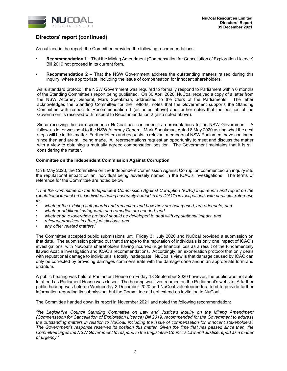

## **Directors' report (continued)**

As outlined in the report, the Committee provided the following recommendations:

- **Recommendation 1** That the Mining Amendment (Compensation for Cancellation of Exploration Licence) Bill 2019 not proceed in its current form.
- **Recommendation 2** That the NSW Government address the outstanding matters raised during this inquiry, where appropriate, including the issue of compensation for innocent shareholders.

As is standard protocol, the NSW Government was required to formally respond to Parliament within 6 months of the Standing Committee's report being published. On 30 April 2020, NuCoal received a copy of a letter from the NSW Attorney General, Mark Speakman, addressed to the Clerk of the Parliaments. The letter acknowledges the Standing Committee for their efforts, notes that the Government supports the Standing Committee with respect to Recommendation 1 (as noted above) and further notes that the position of the Government is reserved with respect to Recommendation 2 (also noted above).

Since receiving the correspondence NuCoal has continued its representations to the NSW Government. A follow-up letter was sent to the NSW Attorney General, Mark Speakman, dated 8 May 2020 asking what the next steps will be in this matter. Further letters and requests to relevant members of NSW Parliament have continued since then and are still being made. All representations request an opportunity to meet and discuss the matter with a view to obtaining a mutually agreed compensation position. The Government maintains that it is still considering the matter.

## **Committee on the Independent Commission Against Corruption**

On 8 May 2020, the Committee on the Independent Commission Against Corruption commenced an inquiry into the reputational impact on an individual being adversely named in the ICAC's investigations. The terms of reference for the Committee are noted below:

"*That the Committee on the Independent Commission Against Corruption (ICAC) inquire into and report on the reputational impact on an individual being adversely named in the ICAC's investigations, with particular reference to:* 

- *whether the existing safeguards and remedies, and how they are being used, are adequate, and*
- *whether additional safeguards and remedies are needed, and*
- *whether an exoneration protocol should be developed to deal with reputational impact, and*
- *relevant practices in other jurisdictions, and*
- *any other related matters*."

The Committee accepted public submissions until Friday 31 July 2020 and NuCoal provided a submission on that date. The submission pointed out that damage to the reputation of individuals is only one impact of ICAC's investigations, with NuCoal's shareholders having incurred huge financial loss as a result of the fundamentally flawed Acacia investigation and ICAC's recommendations. Accordingly, an exoneration protocol that only deals with reputational damage to individuals is totally inadequate. NuCoal's view is that damage caused by ICAC can only be corrected by providing damages commensurate with the damage done and in an appropriate form and quantum.

A public hearing was held at Parliament House on Friday 18 September 2020 however, the public was not able to attend as Parliament House was closed. The hearing was livestreamed on the Parliament's website. A further public hearing was held on Wednesday 2 December 2020 and NuCoal volunteered to attend to provide further information regarding its submission, but the Committee did not extend an invitation to NuCoal.

The Committee handed down its report in November 2021 and noted the following recommendation:

*"the Legislative Council Standing Committee on Law and Justice's inquiry on the Mining Amendment (Compensation for Cancellation of Exploration Licence) Bill 2019, recommended for the Government to address the outstanding matters in relation to NuCoal, including the issue of compensation for 'innocent stakeholders'. The Government's response reserves its position this matter. Given the time that has passed since then, the Committee urges the NSW Government to respond to the Legislative Council's Law and Justice report as a matter of urgency."*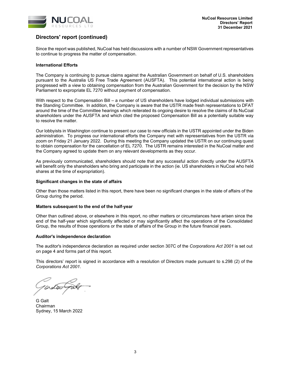

## **Directors' report (continued)**

Since the report was published, NuCoal has held discussions with a number of NSW Government representatives to continue to progress the matter of compensation.

#### **International Efforts**

The Company is continuing to pursue claims against the Australian Government on behalf of U.S. shareholders pursuant to the Australia US Free Trade Agreement (AUSFTA). This potential international action is being progressed with a view to obtaining compensation from the Australian Government for the decision by the NSW Parliament to expropriate EL 7270 without payment of compensation.

With respect to the Compensation Bill – a number of US shareholders have lodged individual submissions with the Standing Committee. In addition, the Company is aware that the USTR made fresh representations to DFAT around the time of the Committee hearings which reiterated its ongoing desire to resolve the claims of its NuCoal shareholders under the AUSFTA and which cited the proposed Compensation Bill as a potentially suitable way to resolve the matter.

Our lobbyists in Washington continue to present our case to new officials in the USTR appointed under the Biden administration. To progress our international efforts the Company met with representatives from the USTR via zoom on Friday 21 January 2022. During this meeting the Company updated the USTR on our continuing quest to obtain compensation for the cancellation of EL 7270. The USTR remains interested in the NuCoal matter and the Company agreed to update them on any relevant developments as they occur.

As previously communicated, shareholders should note that any successful action directly under the AUSFTA will benefit only the shareholders who bring and participate in the action (ie. US shareholders in NuCoal who held shares at the time of expropriation).

#### **Significant changes in the state of affairs**

Other than those matters listed in this report, there have been no significant changes in the state of affairs of the Group during the period.

#### **Matters subsequent to the end of the half-year**

Other than outlined above, or elsewhere in this report, no other matters or circumstances have arisen since the end of the half-year which significantly affected or may significantly affect the operations of the Consolidated Group, the results of those operations or the state of affairs of the Group in the future financial years.

#### **Auditor's independence declaration**

The auditor's independence declaration as required under section 307C of the *Corporations Act 2001* is set out on page 4 and forms part of this report.

This directors' report is signed in accordance with a resolution of Directors made pursuant to s.298 (2) of the *Corporations Act 2001*.

G Galt Chairman Sydney, 15 March 2022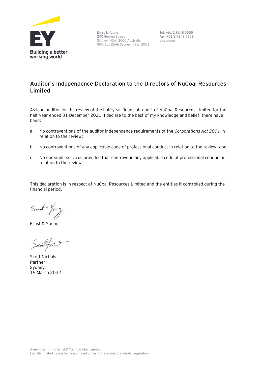

Ernst & Young 200 George Street Sydney NSW 2000 Australia GPO Box 2646 Sydney NSW 2001

Tel: +61 2 9248 5555 Fax: +61 2 9248 5959 ey.com/au

# **Auditor's Independence Declaration to the Directors of NuCoal Resources Limited**

As lead auditor for the review of the half-year financial report of NuCoal Resources Limited for the half-year ended 31 December 2021, I declare to the best of my knowledge and belief, there have been:

- a. No contraventions of the auditor independence requirements of the *Corporations Act 2001* in relation to the review;
- b. No contraventions of any applicable code of professional conduct in relation to the review; and
- c. No non-audit services provided that contravene any applicable code of professional conduct in relation to the review.

This declaration is in respect of NuCoal Resources Limited and the entities it controlled during the financial period.

Ernet + Yer

Ernst & Young

Scott Nichols Partner Sydney 15 March 2022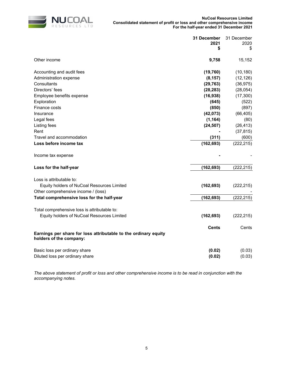

|                                                                                            | 31 December<br>2021<br>\$ | 31 December<br>2020<br>\$ |
|--------------------------------------------------------------------------------------------|---------------------------|---------------------------|
| Other income                                                                               | 9,758                     | 15,152                    |
| Accounting and audit fees                                                                  | (19, 760)                 | (10, 180)                 |
| Administration expense                                                                     | (8, 157)                  | (12, 126)                 |
| Consultants                                                                                | (29, 763)                 | (36, 975)                 |
| Directors' fees                                                                            | (28, 283)                 | (28, 054)                 |
| Employee benefits expense                                                                  | (16, 938)                 | (17, 300)                 |
| Exploration                                                                                | (645)                     | (522)                     |
| Finance costs                                                                              | (850)                     | (897)                     |
| Insurance                                                                                  | (42, 073)                 | (66, 405)                 |
| Legal fees                                                                                 | (1, 164)                  | (80)                      |
| Listing fees                                                                               | (24, 507)                 | (26, 413)                 |
| Rent                                                                                       |                           | (37, 815)                 |
| Travel and accommodation                                                                   | (311)                     | (600)                     |
| Loss before income tax                                                                     | (162, 693)                | (222, 215)                |
| Income tax expense                                                                         |                           |                           |
| Loss for the half-year                                                                     | (162, 693)                | (222, 215)                |
| Loss is attributable to:                                                                   |                           |                           |
| Equity holders of NuCoal Resources Limited                                                 | (162, 693)                | (222, 215)                |
| Other comprehensive income / (loss)                                                        |                           |                           |
| Total comprehensive loss for the half-year                                                 | (162, 693)                | (222, 215)                |
| Total comprehensive loss is attributable to:                                               |                           |                           |
| Equity holders of NuCoal Resources Limited                                                 | (162, 693)                | (222, 215)                |
| Earnings per share for loss attributable to the ordinary equity<br>holders of the company: | <b>Cents</b>              | Cents                     |
| Basic loss per ordinary share<br>Diluted loss per ordinary share                           | (0.02)<br>(0.02)          | (0.03)<br>(0.03)          |

*The above statement of profit or loss and other comprehensive income is to be read in conjunction with the accompanying notes.*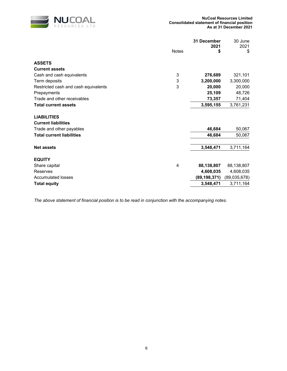

|                                      | 31 December<br>2021 |                | 30 June<br>2021 |
|--------------------------------------|---------------------|----------------|-----------------|
|                                      | <b>Notes</b>        | \$             | \$              |
| <b>ASSETS</b>                        |                     |                |                 |
| <b>Current assets</b>                |                     |                |                 |
| Cash and cash equivalents            | 3                   | 276,689        | 321,101         |
| Term deposits                        | 3                   | 3,200,000      | 3,300,000       |
| Restricted cash and cash equivalents | 3                   | 20,000         | 20,000          |
| Prepayments                          |                     | 25,109         | 48,726          |
| Trade and other receivables          |                     | 73,357         | 71,404          |
| <b>Total current assets</b>          |                     | 3,595,155      | 3,761,231       |
| <b>LIABILITIES</b>                   |                     |                |                 |
| <b>Current liabilities</b>           |                     |                |                 |
| Trade and other payables             |                     | 46,684         | 50,067          |
| <b>Total current liabilities</b>     |                     | 46,684         | 50,067          |
| <b>Net assets</b>                    |                     | 3,548,471      | 3,711,164       |
| <b>EQUITY</b>                        |                     |                |                 |
| Share capital                        | 4                   | 88,138,807     | 88,138,807      |
| Reserves                             |                     | 4,608,035      | 4,608,035       |
| <b>Accumulated losses</b>            |                     | (89, 198, 371) | (89,035,678)    |
| <b>Total equity</b>                  |                     | 3,548,471      | 3,711,164       |
|                                      |                     |                |                 |

*The above statement of financial position is to be read in conjunction with the accompanying notes.*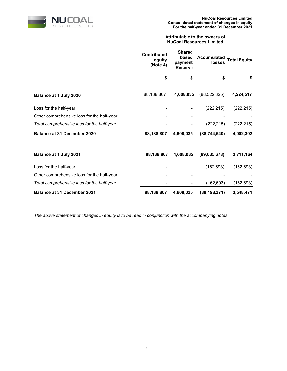

## **Attributable to the owners of NuCoal Resources Limited**

|                                            | <b>Contributed</b><br>equity<br>(Note 4) | <b>Shared</b><br>based<br>payment<br><b>Reserve</b> | <b>Accumulated</b><br>losses | <b>Total Equity</b> |
|--------------------------------------------|------------------------------------------|-----------------------------------------------------|------------------------------|---------------------|
|                                            | \$                                       | \$                                                  | \$                           | \$                  |
| Balance at 1 July 2020                     | 88,138,807                               | 4,608,035                                           | (88, 522, 325)               | 4,224,517           |
| Loss for the half-year                     |                                          |                                                     | (222, 215)                   | (222, 215)          |
| Other comprehensive loss for the half-year |                                          |                                                     |                              |                     |
| Total comprehensive loss for the half-year |                                          |                                                     | (222, 215)                   | (222, 215)          |
| <b>Balance at 31 December 2020</b>         | 88,138,807                               | 4,608,035                                           | (88, 744, 540)               | 4,002,302           |
| Balance at 1 July 2021                     | 88,138,807                               | 4,608,035                                           | (89,035,678)                 | 3,711,164           |
| Loss for the half-year                     |                                          |                                                     | (162, 693)                   | (162, 693)          |
| Other comprehensive loss for the half-year |                                          |                                                     |                              |                     |
| Total comprehensive loss for the half-year |                                          |                                                     | (162, 693)                   | (162, 693)          |
| <b>Balance at 31 December 2021</b>         | 88,138,807                               | 4,608,035                                           | (89, 198, 371)               | 3,548,471           |

*The above statement of changes in equity is to be read in conjunction with the accompanying notes.*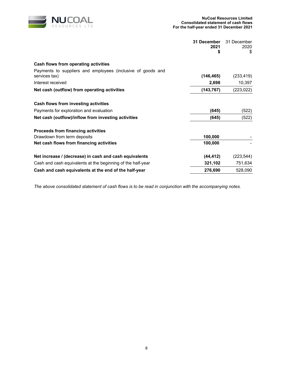

|                                                             | 31 December<br>2021<br>\$ | 31 December<br>2020<br>\$ |
|-------------------------------------------------------------|---------------------------|---------------------------|
|                                                             |                           |                           |
| Cash flows from operating activities                        |                           |                           |
| Payments to suppliers and employees (inclusive of goods and |                           |                           |
| services tax)                                               | (146, 465)                | (233, 419)                |
| Interest received                                           | 2,698                     | 10,397                    |
| Net cash (outflow) from operating activities                | (143, 767)                | (223, 022)                |
| Cash flows from investing activities                        |                           |                           |
| Payments for exploration and evaluation                     | (645)                     | (522)                     |
| Net cash (outflow)/inflow from investing activities         | (645)                     | (522)                     |
| Proceeds from financing activities                          |                           |                           |
| Drawdown from term deposits                                 | 100,000                   |                           |
| Net cash flows from financing activities                    | 100,000                   |                           |
| Net increase / (decrease) in cash and cash equivalents      | (44, 412)                 | (223,544)                 |
| Cash and cash equivalents at the beginning of the half-year | 321,102                   | 751,634                   |
| Cash and cash equivalents at the end of the half-year       | 276,690                   | 528,090                   |

*The above consolidated statement of cash flows is to be read in conjunction with the accompanying notes.*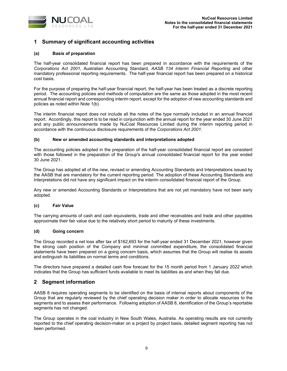

## **1 Summary of significant accounting activities**

## **(a) Basis of preparation**

The half-year consolidated financial report has been prepared in accordance with the requirements of the *Corporations Act 2001*, Australian Accounting Standard, *AASB 134 Interim Financial Reporting* and other mandatory professional reporting requirements. The half-year financial report has been prepared on a historical cost basis.

For the purpose of preparing the half-year financial report, the half-year has been treated as a discrete reporting period. The accounting policies and methods of computation are the same as those adopted in the most recent annual financial report and corresponding interim report, except for the adoption of new accounting standards and policies as noted within Note 1(b).

The interim financial report does not include all the notes of the type normally included in an annual financial report. Accordingly, this report is to be read in conjunction with the annual report for the year ended 30 June 2021 and any public announcements made by NuCoal Resources Limited during the interim reporting period in accordance with the continuous disclosure requirements of the *Corporations Act 2001.* 

#### **(b) New or amended accounting standards and interpretations adopted**

The accounting policies adopted in the preparation of the half-year consolidated financial report are consistent with those followed in the preparation of the Group's annual consolidated financial report for the year ended 30 June 2021.

The Group has adopted all of the new, revised or amending Accounting Standards and Interpretations issued by the AASB that are mandatory for the current reporting period. The adoption of these Accounting Standards and Interpretations did not have any significant impact on the interim consolidated financial report of the Group.

Any new or amended Accounting Standards or Interpretations that are not yet mandatory have not been early adopted.

#### **(c) Fair Value**

The carrying amounts of cash and cash equivalents, trade and other receivables and trade and other payables approximate their fair value due to the relatively short period to maturity of these investments.

#### **(d) Going concern**

The Group recorded a net loss after tax of \$162,693 for the half-year ended 31 December 2021, however given the strong cash position of the Company and minimal committed expenditure, the consolidated financial statements have been prepared on a going concern basis, which assumes that the Group will realise its assets and extinguish its liabilities on normal terms and conditions.

The directors have prepared a detailed cash flow forecast for the 15 month period from 1 January 2022 which indicates that the Group has sufficient funds available to meet its liabilities as and when they fall due.

## **2 Segment information**

AASB 8 requires operating segments to be identified on the basis of internal reports about components of the Group that are regularly reviewed by the chief operating decision maker in order to allocate resources to the segments and to assess their performance. Following adoption of AASB 8, identification of the Group's reportable segments has not changed.

The Group operates in the coal industry in New South Wales, Australia. As operating results are not currently reported to the chief operating decision-maker on a project by project basis, detailed segment reporting has not been performed.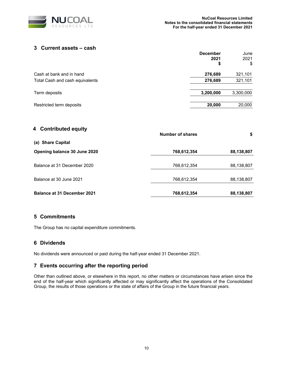

## **3 Current assets – cash**

|                                 | <b>December</b><br>2021<br>\$ | June<br>2021<br>\$ |
|---------------------------------|-------------------------------|--------------------|
| Cash at bank and in hand        | 276,689                       | 321,101            |
| Total Cash and cash equivalents | 276,689                       | 321,101            |
| Term deposits                   | 3,200,000                     | 3,300,000          |
| Restricted term deposits        | 20,000                        | 20,000             |

| 4 Contributed equity               | <b>Number of shares</b> | \$         |  |
|------------------------------------|-------------------------|------------|--|
| (a) Share Capital                  |                         |            |  |
| Opening balance 30 June 2020       | 768,612,354             | 88,138,807 |  |
| Balance at 31 December 2020        | 768,612,354             | 88,138,807 |  |
| Balance at 30 June 2021            | 768,612,354             | 88,138,807 |  |
| <b>Balance at 31 December 2021</b> | 768,612,354             | 88,138,807 |  |

## **5 Commitments**

The Group has no capital expenditure commitments.

## **6 Dividends**

No dividends were announced or paid during the half-year ended 31 December 2021.

## **7 Events occurring after the reporting period**

Other than outlined above, or elsewhere in this report, no other matters or circumstances have arisen since the end of the half-year which significantly affected or may significantly affect the operations of the Consolidated Group, the results of those operations or the state of affairs of the Group in the future financial years.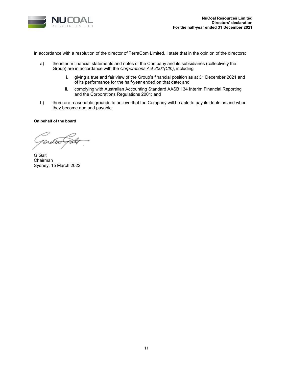

In accordance with a resolution of the director of TerraCom Limited, I state that in the opinion of the directors:

- a) the interim financial statements and notes of the Company and its subsidiaries (collectively the Group) are in accordance with the *Corporations Act 2001(Cth)*, including
	- i. giving a true and fair view of the Group's financial position as at 31 December 2021 and of its performance for the half-year ended on that date; and
	- ii. complying with Australian Accounting Standard AASB 134 Interim Financial Reporting and the Corporations Regulations 2001; and
- b) there are reasonable grounds to believe that the Company will be able to pay its debts as and when they become due and payable

#### **On behalf of the board**

G Galt Chairman Sydney, 15 March 2022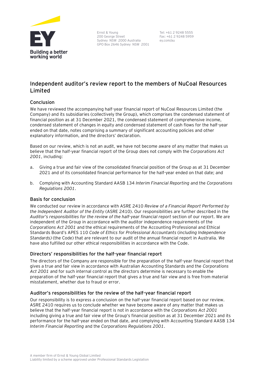

Ernst & Young 200 George Street Sydney NSW 2000 Australia GPO Box 2646 Sydney NSW 2001

Tel: +61 2 9248 5555 Fax: +61 2 9248 5959 ey.com/au

# **Independent auditor's review report to the members of NuCoal Resources Limited**

## **Conclusion**

We have reviewed the accompanying half-year financial report of NuCoal Resources Limited (the Company) and its subsidiaries (collectively the Group), which comprises the condensed statement of financial position as at 31 December 2021, the condensed statement of comprehensive income, condensed statement of changes in equity and condensed statement of cash flows for the half-year ended on that date, notes comprising a summary of significant accounting policies and other explanatory information, and the directors' declaration.

Based on our review, which is not an audit, we have not become aware of any matter that makes us believe that the half-year financial report of the Group does not comply with the *Corporations Act 2001*, including:

- a. Giving a true and fair view of the consolidated financial position of the Group as at 31 December 2021 and of its consolidated financial performance for the half-year ended on that date; and
- b. Complying with Accounting Standard AASB 134 *Interim Financial Reporting* and the *Corporations Regulations 2001*.

## **Basis for conclusion**

We conducted our review in accordance with ASRE 2410 *Review of a Financial Report Performed by the Independent Auditor of the Entity* (ASRE 2410). Our responsibilities are further described in the *Auditor's responsibilities for the review of the half-year financial report* section of our report. We are independent of the Group in accordance with the auditor independence requirements of the *Corporations Act 2001* and the ethical requirements of the Accounting Professional and Ethical Standards Board's APES 110 *Code of Ethics for Professional Accountants* (*including Independence Standards)* (the Code) that are relevant to our audit of the annual financial report in Australia. We have also fulfilled our other ethical responsibilities in accordance with the Code.

## **Directors' responsibilities for the half-year financial report**

The directors of the Company are responsible for the preparation of the half-year financial report that gives a true and fair view in accordance with Australian Accounting Standards and the *Corporations Act 2001* and for such internal control as the directors determine is necessary to enable the preparation of the half-year financial report that gives a true and fair view and is free from material misstatement, whether due to fraud or error.

## **Auditor's responsibilities for the review of the half-year financial report**

Our responsibility is to express a conclusion on the half-year financial report based on our review. ASRE 2410 requires us to conclude whether we have become aware of any matter that makes us believe that the half-year financial report is not in accordance with the *Corporations Act 2001* including giving a true and fair view of the Group's financial position as at 31 December 2021 and its performance for the half-year ended on that date, and complying with Accounting Standard AASB 134 *Interim Financial Reporting* and the *Corporations Regulations 2001*.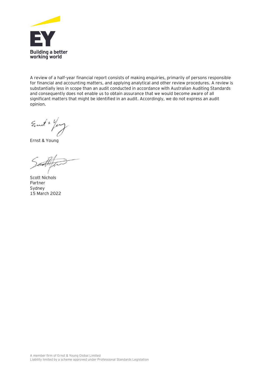

A review of a half-year financial report consists of making enquiries, primarily of persons responsible for financial and accounting matters, and applying analytical and other review procedures. A review is substantially less in scope than an audit conducted in accordance with Australian Auditing Standards and consequently does not enable us to obtain assurance that we would become aware of all significant matters that might be identified in an audit. Accordingly, we do not express an audit opinion.

Emit + Yong

Ernst & Young

Scott Nichols Partner Sydney 15 March 2022